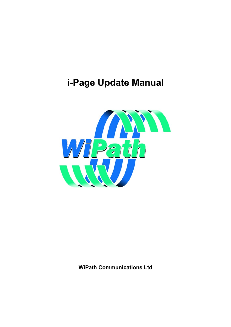# **i-Page Update Manual**



**WiPath Communications Ltd**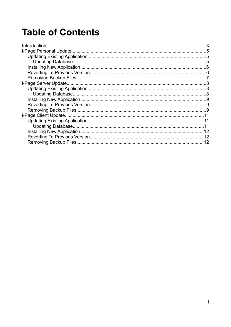# **Table of Contents**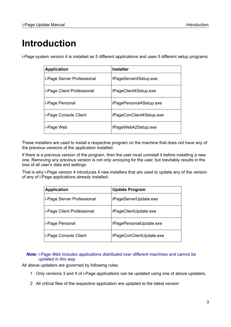# <span id="page-2-0"></span>**Introduction**

i-Page system version 4 is installed as 5 different applications and uses 5 different setup programs:

| <b>Application</b>         | <b>Installer</b>         |
|----------------------------|--------------------------|
| i-Page Server Professional | IPageServer4Setup.exe    |
| i-Page Client Professional | IPageClient4Setup.exe    |
| i-Page Personal            | IPagePersonal4Setup.exe  |
| i-Page Console Client      | IPageConClient4Setup.exe |
| i-Page Web                 | IPageWebA2Setup.exe      |

These installers are used to install a respective program on the machine that does not have any of the previous versions of the application installed.

If there is a previous version of the program, then the user must uninstall it before installing a new one. Removing any previous version is not only annoying for the user, but inevitably results in the loss of all user's data and settings.

That is why i-Page version 4 introduces 4 new installers that are used to update any of the version of any of i-Page applications already installed.

| <b>Application</b>         | <b>Update Program</b>    |
|----------------------------|--------------------------|
| i-Page Server Professional | IPageServerUpdate.exe    |
| i-Page Client Professional | IPageClientUpdate.exe    |
| i-Page Personal            | IPagePersonalUpdate.exe  |
| i-Page Console Client      | IPageConClientUpdate.exe |

*Note: i-Page Web includes applications distributed over different machines and cannot be updated in this way.*

All above updaters are governed by following rules:

- 1 Only versions 3 and 4 of i-Page applications can be updated using one of above updaters.
- 2 All critical files of the respective application are updated to the latest version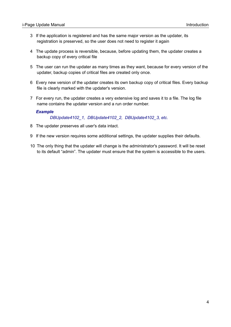- 3 If the application is registered and has the same major version as the updater, its registration is preserved, so the user does not need to register it again
- 4 The update process is reversible, because, before updating them, the updater creates a backup copy of every critical file
- 5 The user can run the updater as many times as they want, because for every version of the updater, backup copies of critical files are created only once.
- 6 Every new version of the updater creates its own backup copy of critical files. Every backup file is clearly marked with the updater's version.
- 7 For every run, the updater creates a very extensive log and saves it to a file. The log file name contains the updater version and a run order number.

#### *Example*

*DBUpdate4102\_1, DBUpdate4102\_2, DBUpdate4102\_3, etc.*

- 8 The updater preserves all user's data intact.
- 9 If the new version requires some additional settings, the updater supplies their defaults.
- 10 The only thing that the updater will change is the administrator's password. It will be reset to its default "admin". The updater must ensure that the system is accessible to the users.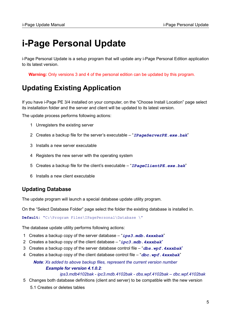# <span id="page-4-2"></span>**i-Page Personal Update**

i-Page Personal Update is a setup program that will update any i-Page Personal Edition application to its latest version.

**Warning:** Only versions 3 and 4 of the personal edition can be updated by this program.

## <span id="page-4-1"></span>**Updating Existing Application**

If you have i-Page PE 3/4 installed on your computer, on the "Choose Install Location" page select its installation folder and the server and client will be updated to its latest version.

The update process performs following actions:

- 1 Unregisters the existing server
- 2 Creates a backup file for the server's executable "*IPageServerPE.exe.bak*"
- 3 Installs a new server executable
- 4 Registers the new server with the operating system
- 5 Creates a backup file for the client's executable "*IPageClientPE.exe.bak*"
- 6 Installs a new client executable

### <span id="page-4-0"></span>**Updating Database**

The update program will launch a special database update utility program.

On the "Select Database Folder" page select the folder the existing database is installed in.

**Default: "**C:\Program Files\IPagePersonal\Database \"

The database update utility performs following actions:

- 1 Creates a backup copy of the server database "*ips3.mdb.4xxxbak*"
- 2 Creates a backup copy of the client database "*ipc3.mdb.4xxxbak*"
- 3 Creates a backup copy of the server database control file "*dbs.wpf.4xxxbak*"
- 4 Creates a backup copy of the client database control file "*dbc.wpf.4xxxbak*"

*Note: Xs added to above backup files, represent the current version number Example for version 4.1.0.2:*

*ips3.mdb4102bak - ipc3.mdb.4102bak - dbs.wpf.4102bak – dbc.wpf.4102bak*

 5 Changes both database definitions (client and server) to be compatible with the new version 5.1 Creates or deletes tables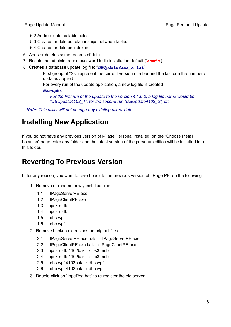- 5.2 Adds or deletes table fields
- 5.3 Creates or deletes relationships between tables
- 5.4 Creates or deletes indexes
- 6 Adds or deletes some records of data
- 7 Resets the administrator's password to its installation default ('*admin*')
- 8 Creates a database update log file: "*DBUpdate4xxx\_x.txt*"
	- ◽ First group of "Xs" represent the current version number and the last one the number of updates applied
	- ◽ For every run of the update application, a new log file is created *Example:*

*For the first run of the update to the version 4.1.0.2, a log file name would be "DBUpdate4102\_1", for the second run "DBUpdate4102\_2", etc.*

*Note: This utility will not change any existing users' data.*

### <span id="page-5-1"></span>**Installing New Application**

If you do not have any previous version of i-Page Personal installed, on the "Choose Install Location" page enter any folder and the latest version of the personal edition will be installed into this folder.

## <span id="page-5-0"></span>**Reverting To Previous Version**

If, for any reason, you want to revert back to the previous version of i-Page PE, do the following:

- 1 Remove or rename newly installed files:
	- 1.1 IPageServerPE.exe
	- 1.2 IPageClientPE.exe
	- 1.3 ips3.mdb
	- 1.4 ipc3.mdb
	- 1.5 dbs.wpf
	- 1.6 dbc.wpf
- 2 Remove backup extensions on original files
	- 2.1 IPageServerPE.exe.bak → IPageServerPE.exe
	- 2.2 IPageClientPE.exe.bak → IPageClientPE.exe
	- 2.3 ips3.mdb.4102bak  $\rightarrow$  ips3.mdb
	- 2.4 ipc3.mdb.4102bak  $\rightarrow$  ipc3.mdb
	- 2.5 dbs.wpf.4102bak  $\rightarrow$  dbs.wpf
	- 2.6 dbc.wpf.4102bak  $\rightarrow$  dbc.wpf
- 3 Double-click on "ippeReg.bat" to re-register the old server.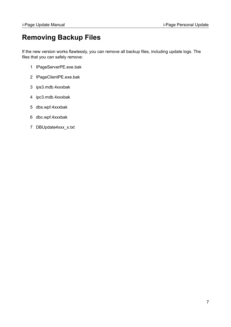### <span id="page-6-0"></span>**Removing Backup Files**

If the new version works flawlessly, you can remove all backup files, including update logs. The files that you can safely remove:

- 1 IPageServerPE.exe.bak
- 2 IPageClientPE.exe.bak
- 3 ips3.mdb.4xxxbak
- 4 ipc3.mdb.4xxxbak
- 5 dbs.wpf.4xxxbak
- 6 dbc.wpf.4xxxbak
- 7 DBUpdate4xxx\_x.txt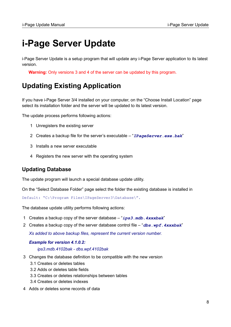# <span id="page-7-2"></span>**i-Page Server Update**

i-Page Server Update is a setup program that will update any i-Page Server application to its latest version.

**Warning:** Only versions 3 and 4 of the server can be updated by this program.

## <span id="page-7-1"></span>**Updating Existing Application**

If you have i-Page Server 3/4 installed on your computer, on the "Choose Install Location" page select its installation folder and the server will be updated to its latest version.

The update process performs following actions:

- 1 Unregisters the existing server
- 2 Creates a backup file for the server's executable "*IPageServer.exe.bak*"
- 3 Installs a new server executable
- 4 Registers the new server with the operating system

### <span id="page-7-0"></span>**Updating Database**

The update program will launch a special database update utility.

On the "Select Database Folder" page select the folder the existing database is installed in

Default: "C:\Program Files\IPageServer3\Database\".

The database update utility performs following actions:

- 1 Creates a backup copy of the server database "*ips3.mdb.4xxxbak*"
- 2 Creates a backup copy of the server database control file "*dbs.wpf.4xxxbak*" *Xs added to above backup files, represent the current version number.*

#### *Example for version 4.1.0.2: ips3.mdb.4102bak - dbs.wpf.4102bak*

- 3 Changes the database definition to be compatible with the new version
	- 3.1 Creates or deletes tables
	- 3.2 Adds or deletes table fields
	- 3.3 Creates or deletes relationships between tables
	- 3.4 Creates or deletes indexes
- 4 Adds or deletes some records of data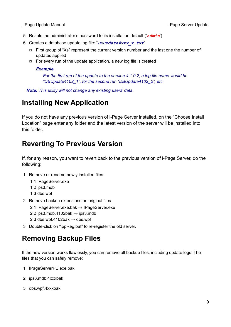- 5 Resets the administrator's password to its installation default ('*admin*')
- 6 Creates a database update log file: "*DBUpdate4xxx\_x.txt*"
	- ◻ First group of "Xs" represent the current version number and the last one the number of updates applied
	- ◻ For every run of the update application, a new log file is created

#### *Example*

*For the first run of the update to the version 4.1.0.2, a log file name would be "DBUpdate4102\_1", for the second run "DBUpdate4102\_2", etc*

*Note: This utility will not change any existing users' data.*

### <span id="page-8-2"></span>**Installing New Application**

If you do not have any previous version of i-Page Server installed, on the "Choose Install Location" page enter any folder and the latest version of the server will be installed into this folder.

### <span id="page-8-1"></span>**Reverting To Previous Version**

If, for any reason, you want to revert back to the previous version of i-Page Server, do the following:

- 1 Remove or rename newly installed files:
	- 1.1 IPageServer.exe
	- 1.2 ips3.mdb
	- 1.3 dbs.wpf
- 2 Remove backup extensions on original files
	- 2.1 IPageServer.exe.bak → IPageServer.exe
	- 2.2 ips3.mdb.4102bak  $\rightarrow$  ips3.mdb
	- 2.3 dbs.wpf.4102bak  $\rightarrow$  dbs.wpf
- 3 Double-click on "ippReg.bat" to re-register the old server.

### <span id="page-8-0"></span>**Removing Backup Files**

If the new version works flawlessly, you can remove all backup files, including update logs. The files that you can safely remove:

- 1 IPageServerPE.exe.bak
- 2 ips3.mdb.4xxxbak
- 3 dbs.wpf.4xxxbak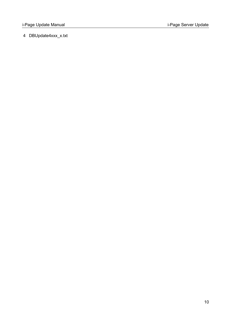4 DBUpdate4xxx\_x.txt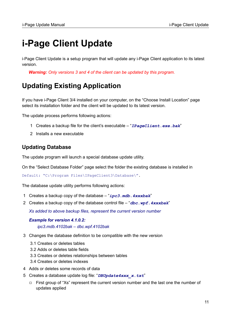# <span id="page-10-2"></span>**i-Page Client Update**

i-Page Client Update is a setup program that will update any i-Page Client application to its latest version.

*Warning: Only versions 3 and 4 of the client can be updated by this program.*

## <span id="page-10-1"></span>**Updating Existing Application**

If you have i-Page Client 3/4 installed on your computer, on the "Choose Install Location" page select its installation folder and the client will be updated to its latest version.

The update process performs following actions:

- 1 Creates a backup file for the client's executable "*IPageClient.exe.bak*"
- 2 Installs a new executable

### <span id="page-10-0"></span>**Updating Database**

The update program will launch a special database update utility.

On the "Select Database Folder" page select the folder the existing database is installed in

Default: "C:\Program Files\IPageClient3\Database\".

The database update utility performs following actions:

- 1 Creates a backup copy of the database "*ipc3.mdb.4xxxbak*"
- 2 Creates a backup copy of the database control file "*dbc.wpf.4xxxbak*"

*Xs added to above backup files, represent the current version number*

#### *Example for version 4.1.0.2: ipc3.mdb.4102bak – dbc.wpf.4102bak*

- 3 Changes the database definition to be compatible with the new version
	- 3.1 Creates or deletes tables
	- 3.2 Adds or deletes table fields
	- 3.3 Creates or deletes relationships between tables
	- 3.4 Creates or deletes indexes
- 4 Adds or deletes some records of data
- 5 Creates a database update log file: "*DBUpdate4xxx\_x.txt*"
	- ◻ First group of "Xs" represent the current version number and the last one the number of updates applied